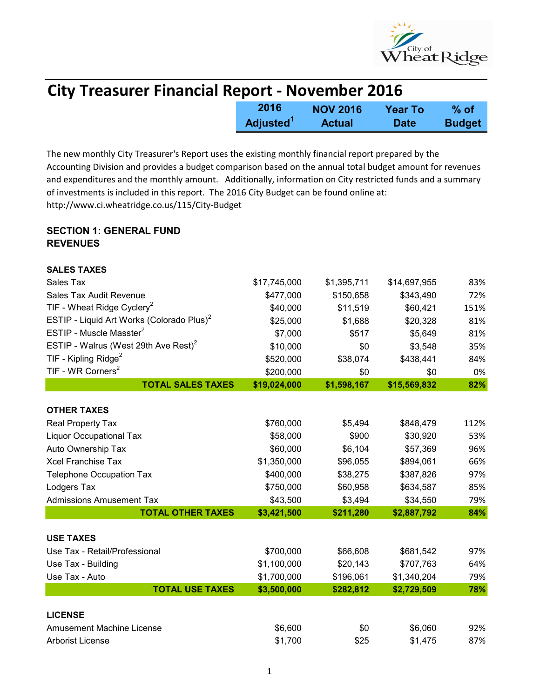

| <b>City Treasurer Financial Report - November 2016</b> |                       |                 |             |               |  |
|--------------------------------------------------------|-----------------------|-----------------|-------------|---------------|--|
|                                                        | 2016                  | <b>NOV 2016</b> | Year To     | $%$ of        |  |
|                                                        | Adjusted <sup>1</sup> | <b>Actual</b>   | <b>Date</b> | <b>Budget</b> |  |

The new monthly City Treasurer's Report uses the existing monthly financial report prepared by the Accounting Division and provides a budget comparison based on the annual total budget amount for revenues and expenditures and the monthly amount. Additionally, information on City restricted funds and a summary of investments is included in this report. The 2016 City Budget can be found online at: http://www.ci.wheatridge.co.us/115/City-Budget

## SECTION 1: GENERAL FUND **REVENUES**

| <b>SALES TAXES</b>                                    |              |             |              |      |
|-------------------------------------------------------|--------------|-------------|--------------|------|
| Sales Tax                                             | \$17,745,000 | \$1,395,711 | \$14,697,955 | 83%  |
| Sales Tax Audit Revenue                               | \$477,000    | \$150,658   | \$343,490    | 72%  |
| TIF - Wheat Ridge Cyclery <sup>2</sup>                | \$40,000     | \$11,519    | \$60,421     | 151% |
| ESTIP - Liquid Art Works (Colorado Plus) <sup>2</sup> | \$25,000     | \$1,688     | \$20,328     | 81%  |
| ESTIP - Muscle Masster <sup>2</sup>                   | \$7,000      | \$517       | \$5,649      | 81%  |
| ESTIP - Walrus (West 29th Ave Rest) $2$               | \$10,000     | \$0         | \$3,548      | 35%  |
| TIF - Kipling Ridge <sup>2</sup>                      | \$520,000    | \$38,074    | \$438,441    | 84%  |
| TIF - WR Corners <sup>2</sup>                         | \$200,000    | \$0         | \$0          | 0%   |
| <b>TOTAL SALES TAXES</b>                              | \$19,024,000 | \$1,598,167 | \$15,569,832 | 82%  |
|                                                       |              |             |              |      |
| <b>OTHER TAXES</b>                                    |              |             |              |      |
| Real Property Tax                                     | \$760,000    | \$5,494     | \$848,479    | 112% |
| <b>Liquor Occupational Tax</b>                        | \$58,000     | \$900       | \$30,920     | 53%  |
| Auto Ownership Tax                                    | \$60,000     | \$6,104     | \$57,369     | 96%  |
| <b>Xcel Franchise Tax</b>                             | \$1,350,000  | \$96,055    | \$894,061    | 66%  |
| <b>Telephone Occupation Tax</b>                       | \$400,000    | \$38,275    | \$387,826    | 97%  |
| Lodgers Tax                                           | \$750,000    | \$60,958    | \$634,587    | 85%  |
| <b>Admissions Amusement Tax</b>                       | \$43,500     | \$3,494     | \$34,550     | 79%  |
| <b>TOTAL OTHER TAXES</b>                              | \$3,421,500  | \$211,280   | \$2,887,792  | 84%  |
|                                                       |              |             |              |      |
| <b>USE TAXES</b>                                      |              |             |              |      |
| Use Tax - Retail/Professional                         | \$700,000    | \$66,608    | \$681,542    | 97%  |
| Use Tax - Building                                    | \$1,100,000  | \$20,143    | \$707,763    | 64%  |
| Use Tax - Auto                                        | \$1,700,000  | \$196,061   | \$1,340,204  | 79%  |
| <b>TOTAL USE TAXES</b>                                | \$3,500,000  | \$282,812   | \$2,729,509  | 78%  |
| <b>LICENSE</b>                                        |              |             |              |      |
| <b>Amusement Machine License</b>                      | \$6,600      | \$0         | \$6,060      | 92%  |
| <b>Arborist License</b>                               | \$1,700      | \$25        | \$1,475      | 87%  |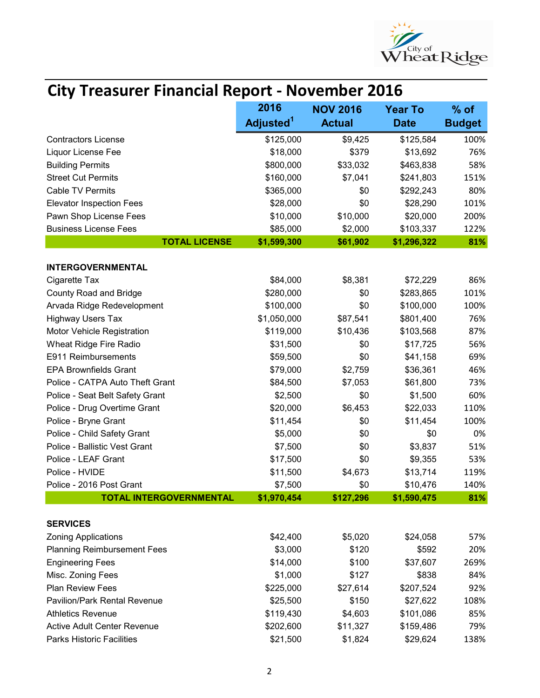

| <b>City Treasurer Financial Report - November 2016</b>     |                                                     |                  |                         |               |  |
|------------------------------------------------------------|-----------------------------------------------------|------------------|-------------------------|---------------|--|
|                                                            | 2016<br><b>NOV 2016</b><br><b>Year To</b><br>$%$ of |                  |                         |               |  |
|                                                            | Adjusted <sup>1</sup>                               | <b>Actual</b>    | <b>Date</b>             | <b>Budget</b> |  |
| <b>Contractors License</b>                                 | \$125,000                                           | \$9,425          | \$125,584               | 100%          |  |
| Liquor License Fee                                         | \$18,000                                            | \$379            | \$13,692                | 76%           |  |
| <b>Building Permits</b>                                    | \$800,000                                           | \$33,032         | \$463,838               | 58%           |  |
| <b>Street Cut Permits</b>                                  | \$160,000                                           | \$7,041          | \$241,803               | 151%          |  |
| <b>Cable TV Permits</b>                                    | \$365,000                                           | \$0              | \$292,243               | 80%           |  |
| <b>Elevator Inspection Fees</b>                            | \$28,000                                            | \$0              | \$28,290                | 101%          |  |
| Pawn Shop License Fees                                     | \$10,000                                            | \$10,000         | \$20,000                | 200%          |  |
| <b>Business License Fees</b>                               | \$85,000                                            | \$2,000          | \$103,337               | 122%          |  |
| <b>TOTAL LICENSE</b>                                       | \$1,599,300                                         | \$61,902         | \$1,296,322             | 81%           |  |
|                                                            |                                                     |                  |                         |               |  |
| <b>INTERGOVERNMENTAL</b>                                   |                                                     |                  |                         |               |  |
| Cigarette Tax                                              | \$84,000                                            | \$8,381          | \$72,229                | 86%           |  |
| <b>County Road and Bridge</b>                              | \$280,000                                           | \$0              | \$283,865               | 101%          |  |
| Arvada Ridge Redevelopment                                 | \$100,000                                           | \$0              | \$100,000               | 100%          |  |
| <b>Highway Users Tax</b>                                   | \$1,050,000                                         | \$87,541         | \$801,400               | 76%           |  |
| Motor Vehicle Registration                                 | \$119,000                                           | \$10,436         | \$103,568               | 87%           |  |
| Wheat Ridge Fire Radio                                     | \$31,500                                            | \$0              | \$17,725                | 56%           |  |
| E911 Reimbursements                                        | \$59,500                                            | \$0              | \$41,158                | 69%           |  |
| <b>EPA Brownfields Grant</b>                               | \$79,000                                            | \$2,759          | \$36,361                | 46%           |  |
| Police - CATPA Auto Theft Grant                            | \$84,500                                            | \$7,053          | \$61,800                | 73%           |  |
| Police - Seat Belt Safety Grant                            | \$2,500                                             | \$0              | \$1,500                 | 60%           |  |
| Police - Drug Overtime Grant                               | \$20,000                                            | \$6,453          | \$22,033                | 110%          |  |
| Police - Bryne Grant                                       | \$11,454                                            | \$0              | \$11,454                | 100%          |  |
| Police - Child Safety Grant                                | \$5,000                                             | \$0              | \$0                     | 0%            |  |
| Police - Ballistic Vest Grant                              | \$7,500                                             | \$0              | \$3,837                 | 51%           |  |
| Police - LEAF Grant                                        | \$17,500                                            | \$0              | \$9,355                 | 53%           |  |
| Police - HVIDE                                             | \$11,500                                            | \$4,673          | \$13,714                | 119%          |  |
| Police - 2016 Post Grant<br><b>TOTAL INTERGOVERNMENTAL</b> | \$7,500<br>\$1,970,454                              | \$0<br>\$127,296 | \$10,476<br>\$1,590,475 | 140%<br>81%   |  |
|                                                            |                                                     |                  |                         |               |  |
| <b>SERVICES</b>                                            |                                                     |                  |                         |               |  |
| <b>Zoning Applications</b>                                 | \$42,400                                            | \$5,020          | \$24,058                | 57%           |  |
| <b>Planning Reimbursement Fees</b>                         | \$3,000                                             | \$120            | \$592                   | 20%           |  |
| <b>Engineering Fees</b>                                    | \$14,000                                            | \$100            | \$37,607                | 269%          |  |
| Misc. Zoning Fees                                          | \$1,000                                             | \$127            | \$838                   | 84%           |  |
| <b>Plan Review Fees</b>                                    | \$225,000                                           | \$27,614         | \$207,524               | 92%           |  |
| <b>Pavilion/Park Rental Revenue</b>                        | \$25,500                                            | \$150            | \$27,622                | 108%          |  |
| <b>Athletics Revenue</b>                                   | \$119,430                                           | \$4,603          | \$101,086               | 85%           |  |
| Active Adult Center Revenue                                | \$202,600                                           | \$11,327         | \$159,486               | 79%           |  |
| Parks Historic Facilities                                  | \$21,500                                            | \$1,824          | \$29,624                | 138%          |  |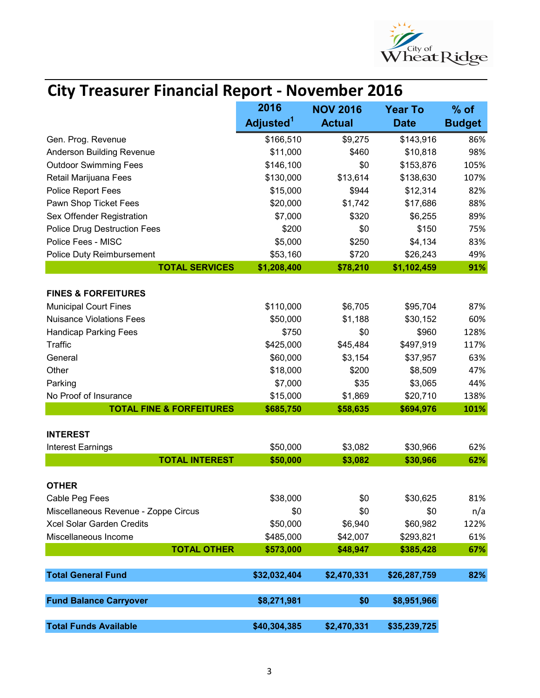

| <b>City Treasurer Financial Report - November 2016</b> |                               |                                  |                               |                         |  |
|--------------------------------------------------------|-------------------------------|----------------------------------|-------------------------------|-------------------------|--|
|                                                        | 2016<br>Adjusted <sup>1</sup> | <b>NOV 2016</b><br><b>Actual</b> | <b>Year To</b><br><b>Date</b> | $%$ of<br><b>Budget</b> |  |
| Gen. Prog. Revenue                                     | \$166,510                     | \$9,275                          | \$143,916                     | 86%                     |  |
| <b>Anderson Building Revenue</b>                       | \$11,000                      | \$460                            | \$10,818                      | 98%                     |  |
| <b>Outdoor Swimming Fees</b>                           | \$146,100                     | \$0                              | \$153,876                     | 105%                    |  |
| Retail Marijuana Fees                                  | \$130,000                     | \$13,614                         | \$138,630                     | 107%                    |  |
| Police Report Fees                                     | \$15,000                      | \$944                            | \$12,314                      | 82%                     |  |
| Pawn Shop Ticket Fees                                  | \$20,000                      | \$1,742                          | \$17,686                      | 88%                     |  |
| Sex Offender Registration                              | \$7,000                       | \$320                            | \$6,255                       | 89%                     |  |
| <b>Police Drug Destruction Fees</b>                    | \$200                         | \$0                              | \$150                         | 75%                     |  |
| Police Fees - MISC                                     | \$5,000                       | \$250                            | \$4,134                       | 83%                     |  |
| Police Duty Reimbursement                              | \$53,160                      | \$720                            | \$26,243                      | 49%                     |  |
| <b>TOTAL SERVICES</b>                                  | \$1,208,400                   | \$78,210                         | \$1,102,459                   | 91%                     |  |
| <b>FINES &amp; FORFEITURES</b>                         |                               |                                  |                               |                         |  |
| <b>Municipal Court Fines</b>                           | \$110,000                     | \$6,705                          | \$95,704                      | 87%                     |  |
| <b>Nuisance Violations Fees</b>                        | \$50,000                      | \$1,188                          | \$30,152                      | 60%                     |  |
| <b>Handicap Parking Fees</b>                           | \$750                         | \$0                              | \$960                         | 128%                    |  |
| <b>Traffic</b>                                         | \$425,000                     | \$45,484                         | \$497,919                     | 117%                    |  |
| General                                                | \$60,000                      | \$3,154                          | \$37,957                      | 63%                     |  |
| Other                                                  | \$18,000                      | \$200                            | \$8,509                       | 47%                     |  |
| Parking                                                | \$7,000                       | \$35                             | \$3,065                       | 44%                     |  |
| No Proof of Insurance                                  | \$15,000                      | \$1,869                          | \$20,710                      | 138%                    |  |
| <b>TOTAL FINE &amp; FORFEITURES</b>                    | \$685,750                     | \$58,635                         | \$694,976                     | 101%                    |  |
| <b>INTEREST</b>                                        |                               |                                  |                               |                         |  |
| Interest Earnings                                      | \$50,000                      | \$3,082                          | \$30,966                      | 62%                     |  |
| <b>TOTAL INTEREST</b>                                  | \$50,000                      | \$3,082                          | \$30,966                      | 62%                     |  |
|                                                        |                               |                                  |                               |                         |  |
| <b>OTHER</b>                                           |                               | \$0                              |                               | 81%                     |  |
| Cable Peg Fees<br>Miscellaneous Revenue - Zoppe Circus | \$38,000<br>\$0               | \$0                              | \$30,625<br>\$0               |                         |  |
| <b>Xcel Solar Garden Credits</b>                       | \$50,000                      | \$6,940                          | \$60,982                      | n/a<br>122%             |  |
| Miscellaneous Income                                   | \$485,000                     | \$42,007                         | \$293,821                     | 61%                     |  |
| <b>TOTAL OTHER</b>                                     | \$573,000                     | \$48,947                         | \$385,428                     | 67%                     |  |
|                                                        |                               |                                  |                               |                         |  |
| <b>Total General Fund</b>                              | \$32,032,404                  | \$2,470,331                      | \$26,287,759                  | 82%                     |  |
| <b>Fund Balance Carryover</b>                          | \$8,271,981                   | \$0                              | \$8,951,966                   |                         |  |
| <b>Total Funds Available</b>                           | \$40,304,385                  | \$2,470,331                      | \$35,239,725                  |                         |  |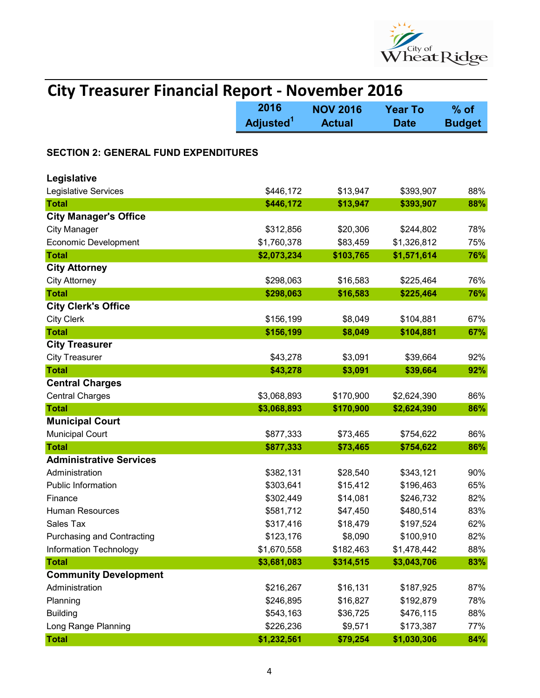

| <b>City Treasurer Financial Report - November 2016</b> |                               |                                  |                               |                         |  |
|--------------------------------------------------------|-------------------------------|----------------------------------|-------------------------------|-------------------------|--|
|                                                        | 2016<br>Adjusted <sup>1</sup> | <b>NOV 2016</b><br><b>Actual</b> | <b>Year To</b><br><b>Date</b> | $%$ of<br><b>Budget</b> |  |
| <b>SECTION 2: GENERAL FUND EXPENDITURES</b>            |                               |                                  |                               |                         |  |
| Legislative                                            |                               |                                  |                               |                         |  |
| Legislative Services                                   | \$446,172                     | \$13,947                         | \$393,907                     | 88%                     |  |
| <b>Total</b>                                           | \$446,172                     | \$13,947                         | \$393,907                     | 88%                     |  |
| <b>City Manager's Office</b>                           |                               |                                  |                               |                         |  |
| <b>City Manager</b>                                    | \$312,856                     | \$20,306                         | \$244,802                     | 78%                     |  |
| <b>Economic Development</b>                            | \$1,760,378                   | \$83,459                         | \$1,326,812                   | 75%                     |  |
| <b>Total</b>                                           | \$2,073,234                   | \$103,765                        | \$1,571,614                   | 76%                     |  |
| <b>City Attorney</b>                                   |                               |                                  |                               |                         |  |
| <b>City Attorney</b>                                   | \$298,063                     | \$16,583                         | \$225,464                     | 76%                     |  |
| <b>Total</b>                                           | \$298,063                     | \$16,583                         | \$225,464                     | 76%                     |  |
| <b>City Clerk's Office</b>                             |                               |                                  |                               |                         |  |
| <b>City Clerk</b>                                      | \$156,199                     | \$8,049                          | \$104,881                     | 67%                     |  |
| <b>Total</b>                                           | \$156,199                     | \$8,049                          | \$104,881                     | 67%                     |  |
| <b>City Treasurer</b>                                  |                               |                                  |                               |                         |  |
| <b>City Treasurer</b>                                  | \$43,278                      | \$3,091                          | \$39,664                      | 92%                     |  |
| <b>Total</b>                                           | \$43,278                      | \$3,091                          | \$39,664                      | 92%                     |  |
| <b>Central Charges</b>                                 |                               |                                  |                               |                         |  |
| <b>Central Charges</b>                                 | \$3,068,893                   | \$170,900                        | \$2,624,390                   | 86%                     |  |
| <b>Total</b>                                           | \$3,068,893                   | \$170,900                        | \$2,624,390                   | 86%                     |  |
| <b>Municipal Court</b>                                 |                               |                                  |                               |                         |  |
| <b>Municipal Court</b>                                 | \$877,333                     | \$73,465                         | \$754,622                     | 86%                     |  |
| <b>Total</b>                                           | \$877,333                     | \$73,465                         | \$754,622                     | 86%                     |  |
| <b>Administrative Services</b>                         |                               |                                  |                               |                         |  |
| Administration                                         | \$382,131                     | \$28,540                         | \$343,121                     | 90%                     |  |
| Public Information                                     | \$303,641                     | \$15,412                         | \$196,463                     | 65%                     |  |
| Finance                                                | \$302,449                     | \$14,081                         | \$246,732                     | 82%                     |  |
| <b>Human Resources</b>                                 | \$581,712                     | \$47,450                         | \$480,514                     | 83%                     |  |
| Sales Tax                                              | \$317,416                     | \$18,479                         | \$197,524                     | 62%                     |  |
| <b>Purchasing and Contracting</b>                      | \$123,176                     | \$8,090                          | \$100,910                     | 82%                     |  |
| Information Technology                                 | \$1,670,558                   | \$182,463                        | \$1,478,442                   | 88%                     |  |
| <b>Total</b>                                           | \$3,681,083                   | \$314,515                        | \$3,043,706                   | 83%                     |  |
| <b>Community Development</b>                           |                               |                                  |                               |                         |  |
| Administration                                         | \$216,267                     | \$16,131                         | \$187,925                     | 87%                     |  |
| Planning                                               | \$246,895                     | \$16,827                         | \$192,879                     | 78%                     |  |
| <b>Building</b>                                        | \$543,163                     | \$36,725                         | \$476,115                     | 88%                     |  |
| Long Range Planning                                    | \$226,236                     | \$9,571                          | \$173,387                     | 77%                     |  |
| <b>Total</b>                                           | \$1,232,561                   | \$79,254                         | \$1,030,306                   | 84%                     |  |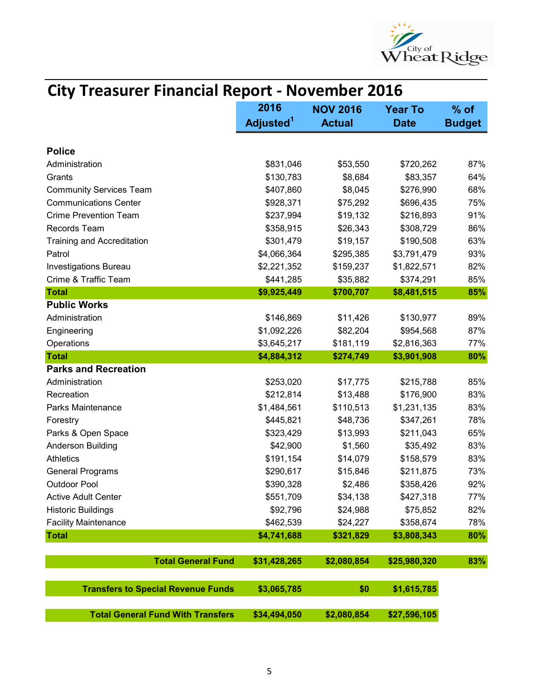

| <b>City Treasurer Financial Report - November 2016</b> |                       |                 |                |               |
|--------------------------------------------------------|-----------------------|-----------------|----------------|---------------|
|                                                        | 2016                  | <b>NOV 2016</b> | <b>Year To</b> | $%$ of        |
|                                                        | Adjusted <sup>1</sup> | <b>Actual</b>   | <b>Date</b>    | <b>Budget</b> |
| <b>Police</b>                                          |                       |                 |                |               |
| Administration                                         | \$831,046             | \$53,550        | \$720,262      | 87%           |
| Grants                                                 | \$130,783             | \$8,684         | \$83,357       | 64%           |
| <b>Community Services Team</b>                         | \$407,860             | \$8,045         | \$276,990      | 68%           |
| <b>Communications Center</b>                           | \$928,371             | \$75,292        | \$696,435      | 75%           |
| <b>Crime Prevention Team</b>                           | \$237,994             | \$19,132        | \$216,893      | 91%           |
| Records Team                                           | \$358,915             | \$26,343        | \$308,729      | 86%           |
| <b>Training and Accreditation</b>                      | \$301,479             | \$19,157        | \$190,508      | 63%           |
| Patrol                                                 | \$4,066,364           | \$295,385       | \$3,791,479    | 93%           |
| <b>Investigations Bureau</b>                           | \$2,221,352           | \$159,237       | \$1,822,571    | 82%           |
| Crime & Traffic Team                                   | \$441,285             | \$35,882        | \$374,291      | 85%           |
| <b>Total</b>                                           | \$9,925,449           | \$700,707       | \$8,481,515    | 85%           |
| <b>Public Works</b>                                    |                       |                 |                |               |
| Administration                                         | \$146,869             | \$11,426        | \$130,977      | 89%           |
| Engineering                                            | \$1,092,226           | \$82,204        | \$954,568      | 87%           |
| Operations                                             | \$3,645,217           | \$181,119       | \$2,816,363    | 77%           |
| <b>Total</b>                                           | \$4,884,312           | \$274,749       | \$3,901,908    | 80%           |
| <b>Parks and Recreation</b>                            |                       |                 |                |               |
| Administration                                         | \$253,020             | \$17,775        | \$215,788      | 85%           |
| Recreation                                             | \$212,814             | \$13,488        | \$176,900      | 83%           |
| Parks Maintenance                                      | \$1,484,561           | \$110,513       | \$1,231,135    | 83%           |
| Forestry                                               | \$445,821             | \$48,736        | \$347,261      | 78%           |
| Parks & Open Space                                     | \$323,429             | \$13,993        | \$211,043      | 65%           |
| Anderson Building                                      | \$42,900              | \$1,560         | \$35,492       | 83%           |
| <b>Athletics</b>                                       | \$191,154             | \$14,079        | \$158,579      | 83%           |
| <b>General Programs</b>                                | \$290,617             | \$15,846        | \$211,875      | 73%           |
| <b>Outdoor Pool</b>                                    | \$390,328             | \$2,486         | \$358,426      | 92%           |
| <b>Active Adult Center</b>                             | \$551,709             | \$34,138        | \$427,318      | 77%           |
| <b>Historic Buildings</b>                              | \$92,796              | \$24,988        | \$75,852       | 82%           |
| <b>Facility Maintenance</b>                            | \$462,539             | \$24,227        | \$358,674      | 78%           |
| <b>Total</b>                                           | \$4,741,688           | \$321,829       | \$3,808,343    | 80%           |
| <b>Total General Fund</b>                              | \$31,428,265          | \$2,080,854     | \$25,980,320   | 83%           |
| <b>Transfers to Special Revenue Funds</b>              | \$3,065,785           | \$0             | \$1,615,785    |               |
| <b>Total General Fund With Transfers</b>               | \$34,494,050          | \$2,080,854     | \$27,596,105   |               |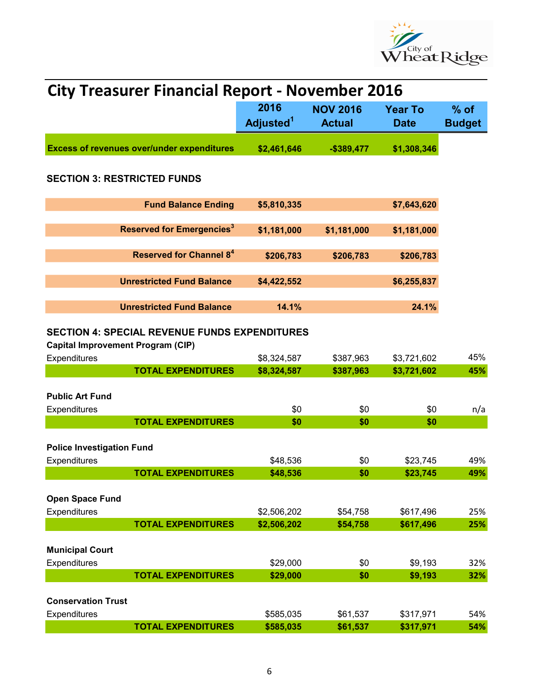

| <b>City Treasurer Financial Report - November 2016</b> |                                                      |                               |                                  |                               |                         |  |
|--------------------------------------------------------|------------------------------------------------------|-------------------------------|----------------------------------|-------------------------------|-------------------------|--|
|                                                        |                                                      | 2016<br>Adjusted <sup>1</sup> | <b>NOV 2016</b><br><b>Actual</b> | <b>Year To</b><br><b>Date</b> | $%$ of<br><b>Budget</b> |  |
|                                                        | <b>Excess of revenues over/under expenditures</b>    | \$2,461,646                   | $-$389,477$                      | \$1,308,346                   |                         |  |
| <b>SECTION 3: RESTRICTED FUNDS</b>                     |                                                      |                               |                                  |                               |                         |  |
|                                                        | <b>Fund Balance Ending</b>                           | \$5,810,335                   |                                  | \$7,643,620                   |                         |  |
|                                                        | <b>Reserved for Emergencies<sup>3</sup></b>          | \$1,181,000                   | \$1,181,000                      | \$1,181,000                   |                         |  |
|                                                        | <b>Reserved for Channel 8<sup>4</sup></b>            | \$206,783                     | \$206,783                        | \$206,783                     |                         |  |
|                                                        | <b>Unrestricted Fund Balance</b>                     | \$4,422,552                   |                                  | \$6,255,837                   |                         |  |
|                                                        | <b>Unrestricted Fund Balance</b>                     | 14.1%                         |                                  | 24.1%                         |                         |  |
| <b>Capital Improvement Program (CIP)</b>               | <b>SECTION 4: SPECIAL REVENUE FUNDS EXPENDITURES</b> |                               |                                  |                               |                         |  |
| Expenditures                                           |                                                      | \$8,324,587                   | \$387,963                        | \$3,721,602                   | 45%                     |  |
|                                                        | <b>TOTAL EXPENDITURES</b>                            | \$8,324,587                   | \$387,963                        | \$3,721,602                   | 45%                     |  |
| <b>Public Art Fund</b>                                 |                                                      |                               |                                  |                               |                         |  |
| Expenditures                                           |                                                      | \$0                           | \$0                              | \$0                           | n/a                     |  |
|                                                        | <b>TOTAL EXPENDITURES</b>                            | \$0                           | \$0                              | \$0                           |                         |  |
| <b>Police Investigation Fund</b>                       |                                                      |                               |                                  |                               |                         |  |
| Expenditures                                           |                                                      | \$48,536                      | \$0                              | \$23,745                      | 49%                     |  |
|                                                        | <b>TOTAL EXPENDITURES</b>                            | \$48,536                      | \$0                              | \$23,745                      | 49%                     |  |
| Open Space Fund                                        |                                                      |                               |                                  |                               |                         |  |
| Expenditures                                           |                                                      | \$2,506,202                   | \$54,758                         | \$617,496                     | 25%                     |  |
|                                                        | <b>TOTAL EXPENDITURES</b>                            | \$2,506,202                   | \$54,758                         | \$617,496                     | 25%                     |  |
| <b>Municipal Court</b>                                 |                                                      |                               |                                  |                               |                         |  |
| Expenditures                                           |                                                      | \$29,000                      | \$0                              | \$9,193                       | 32%                     |  |
|                                                        | <b>TOTAL EXPENDITURES</b>                            | \$29,000                      | \$0                              | \$9,193                       | 32%                     |  |
|                                                        |                                                      |                               |                                  |                               |                         |  |
| <b>Conservation Trust</b>                              |                                                      |                               |                                  |                               |                         |  |
| Expenditures                                           | <b>TOTAL EXPENDITURES</b>                            | \$585,035<br>\$585,035        | \$61,537<br>\$61,537             | \$317,971<br>\$317,971        | 54%<br>54%              |  |
|                                                        |                                                      |                               |                                  |                               |                         |  |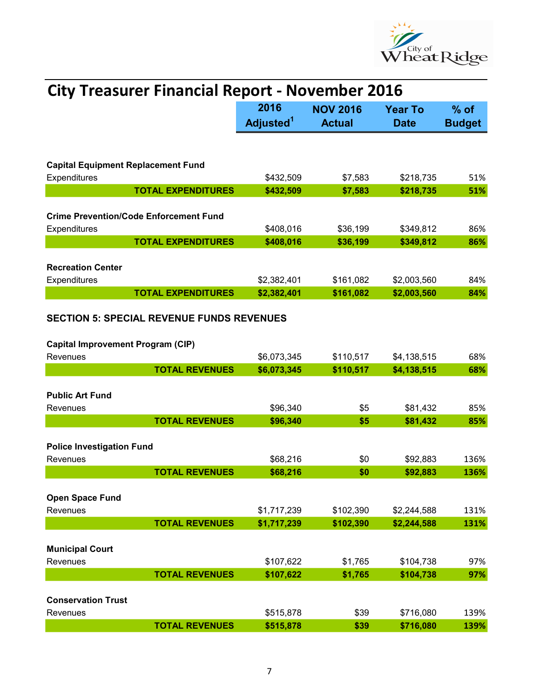

| <b>City Treasurer Financial Report - November 2016</b>                                                   |                               |                         |                        |              |  |
|----------------------------------------------------------------------------------------------------------|-------------------------------|-------------------------|------------------------|--------------|--|
|                                                                                                          | 2016<br>Adjusted <sup>1</sup> | $%$ of<br><b>Budget</b> |                        |              |  |
|                                                                                                          |                               |                         |                        |              |  |
| <b>Capital Equipment Replacement Fund</b>                                                                |                               |                         |                        |              |  |
| Expenditures                                                                                             | \$432,509                     | \$7,583                 | \$218,735              | 51%          |  |
| <b>TOTAL EXPENDITURES</b>                                                                                | \$432,509                     | \$7,583                 | \$218,735              | 51%          |  |
| <b>Crime Prevention/Code Enforcement Fund</b><br>Expenditures                                            | \$408,016                     | \$36,199                | \$349,812              | 86%          |  |
| <b>TOTAL EXPENDITURES</b>                                                                                | \$408,016                     | \$36,199                | \$349,812              | 86%          |  |
| <b>Recreation Center</b><br>Expenditures                                                                 | \$2,382,401                   | \$161,082               | \$2,003,560            | 84%          |  |
| <b>TOTAL EXPENDITURES</b>                                                                                | \$2,382,401                   | \$161,082               | \$2,003,560            | 84%          |  |
| <b>SECTION 5: SPECIAL REVENUE FUNDS REVENUES</b><br><b>Capital Improvement Program (CIP)</b><br>Revenues | \$6,073,345                   | \$110,517               | \$4,138,515            | 68%          |  |
| <b>TOTAL REVENUES</b>                                                                                    | \$6,073,345                   | \$110,517               | \$4,138,515            | 68%          |  |
| <b>Public Art Fund</b><br>Revenues<br><b>TOTAL REVENUES</b>                                              | \$96,340<br>\$96,340          | \$5<br>\$5              | \$81,432<br>\$81,432   | 85%<br>85%   |  |
|                                                                                                          |                               |                         |                        |              |  |
| <b>Police Investigation Fund</b><br>Revenues<br><b>TOTAL REVENUES</b>                                    | \$68,216<br>\$68,216          | \$0<br>\$0              | \$92,883<br>\$92.883   | 136%<br>136% |  |
|                                                                                                          |                               |                         |                        |              |  |
| Open Space Fund<br>Revenues                                                                              | \$1,717,239                   | \$102,390               | \$2,244,588            | 131%         |  |
| <b>TOTAL REVENUES</b>                                                                                    | \$1,717,239                   | \$102,390               | \$2,244,588            | 131%         |  |
| <b>Municipal Court</b><br>Revenues<br><b>TOTAL REVENUES</b>                                              | \$107,622<br>\$107,622        | \$1,765<br>\$1,765      | \$104,738<br>\$104,738 | 97%<br>97%   |  |
|                                                                                                          |                               |                         |                        |              |  |
| <b>Conservation Trust</b><br>Revenues                                                                    | \$515,878                     | \$39                    | \$716,080              | 139%         |  |
| <b>TOTAL REVENUES</b>                                                                                    | \$515,878                     | \$39                    | \$716,080              | 139%         |  |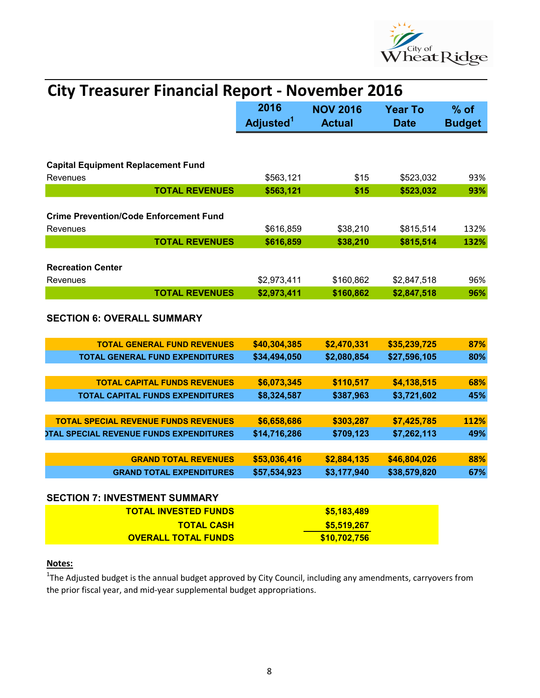

| <b>City Treasurer Financial Report - November 2016</b>                                               |                                                                                                    |                        |                            |               |  |
|------------------------------------------------------------------------------------------------------|----------------------------------------------------------------------------------------------------|------------------------|----------------------------|---------------|--|
|                                                                                                      | 2016<br><b>NOV 2016</b><br><b>Year To</b><br>Adjusted <sup>1</sup><br><b>Actual</b><br><b>Date</b> |                        |                            |               |  |
|                                                                                                      |                                                                                                    |                        |                            | <b>Budget</b> |  |
| <b>Capital Equipment Replacement Fund</b>                                                            |                                                                                                    |                        |                            |               |  |
| Revenues<br><b>TOTAL REVENUES</b>                                                                    | \$563,121<br>\$563,121                                                                             | \$15                   | \$523,032                  | 93%           |  |
|                                                                                                      |                                                                                                    | \$15                   | \$523,032                  | 93%           |  |
| <b>Crime Prevention/Code Enforcement Fund</b>                                                        |                                                                                                    |                        |                            |               |  |
| Revenues                                                                                             | \$616,859                                                                                          | \$38,210               | \$815,514                  | 132%          |  |
| <b>TOTAL REVENUES</b>                                                                                | \$616,859                                                                                          | \$38,210               | \$815,514                  | 132%          |  |
|                                                                                                      |                                                                                                    |                        |                            |               |  |
| <b>Recreation Center</b>                                                                             |                                                                                                    |                        |                            |               |  |
| Revenues                                                                                             | \$2,973,411                                                                                        | \$160,862              | \$2,847,518                | 96%           |  |
| <b>TOTAL REVENUES</b>                                                                                | \$2,973,411                                                                                        | \$160,862              | \$2,847,518                | 96%           |  |
| <b>SECTION 6: OVERALL SUMMARY</b>                                                                    |                                                                                                    |                        |                            |               |  |
| <b>TOTAL GENERAL FUND REVENUES</b>                                                                   | \$40,304,385                                                                                       | \$2,470,331            | \$35,239,725               | 87%           |  |
| <b>TOTAL GENERAL FUND EXPENDITURES</b>                                                               | \$34,494,050                                                                                       | \$2,080,854            | \$27,596,105               | 80%           |  |
|                                                                                                      |                                                                                                    |                        |                            |               |  |
| <b>TOTAL CAPITAL FUNDS REVENUES</b>                                                                  | \$6,073,345                                                                                        | \$110,517              | \$4,138,515                | 68%           |  |
| TOTAL CAPITAL FUNDS EXPENDITURES                                                                     | \$8,324,587                                                                                        | \$387,963              | \$3,721,602                | 45%           |  |
|                                                                                                      |                                                                                                    |                        |                            |               |  |
| <b>TOTAL SPECIAL REVENUE FUNDS REVENUES</b><br><b><i>OTAL SPECIAL REVENUE FUNDS EXPENDITURES</i></b> | \$6,658,686<br>\$14,716,286                                                                        | \$303,287<br>\$709,123 | \$7,425,785<br>\$7,262,113 | 112%<br>49%   |  |
|                                                                                                      |                                                                                                    |                        |                            |               |  |
| <b>GRAND TOTAL REVENUES</b>                                                                          | \$53,036,416                                                                                       | \$2,884,135            | \$46,804,026               | 88%           |  |
| <b>GRAND TOTAL EXPENDITURES</b>                                                                      | \$57,534,923                                                                                       | \$3,177,940            | \$38,579,820               | 67%           |  |
| <b>SECTION 7: INVESTMENT SUMMARY</b>                                                                 |                                                                                                    |                        |                            |               |  |
| <b>TOTAL INVESTED FUNDS</b>                                                                          |                                                                                                    | \$5,183,489            |                            |               |  |
| <b>TOTAL CASH</b>                                                                                    |                                                                                                    | \$5,519,267            |                            |               |  |
| <b>OVERALL TOTAL FUNDS</b>                                                                           |                                                                                                    | \$10,702,756           |                            |               |  |

## Notes:

 $1$ The Adjusted budget is the annual budget approved by City Council, including any amendments, carryovers from the prior fiscal year, and mid-year supplemental budget appropriations.